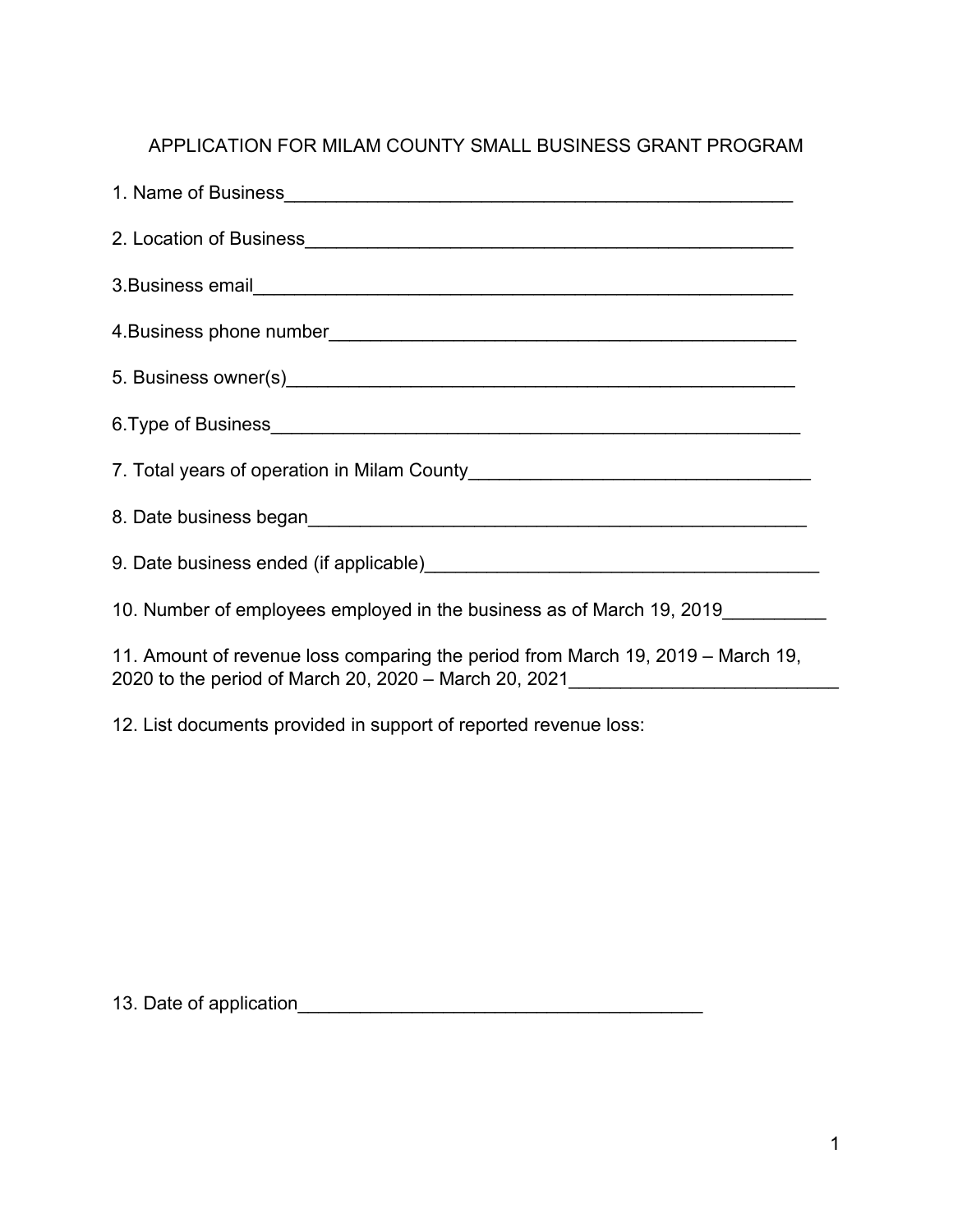## APPLICATION FOR MILAM COUNTY SMALL BUSINESS GRANT PROGRAM

| 10. Number of employees employed in the business as of March 19, 2019                                                                    |
|------------------------------------------------------------------------------------------------------------------------------------------|
| 11. Amount of revenue loss comparing the period from March 19, 2019 – March 19,<br>2020 to the period of March 20, 2020 - March 20, 2021 |

12. List documents provided in support of reported revenue loss:

13. Date of application\_\_\_\_\_\_\_\_\_\_\_\_\_\_\_\_\_\_\_\_\_\_\_\_\_\_\_\_\_\_\_\_\_\_\_\_\_\_\_